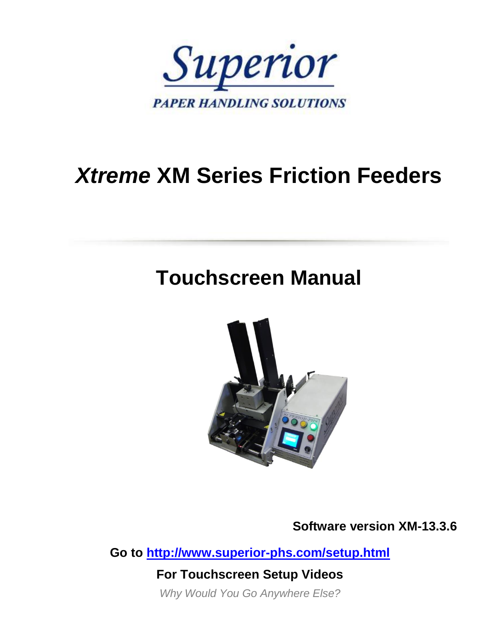

# *Xtreme* **XM Series Friction Feeders**

# **Touchscreen Manual**



**Software version XM-13.3.6**

**Go to<http://www.superior-phs.com/setup.html>**

**For Touchscreen Setup Videos**

*Why Would You Go Anywhere Else?*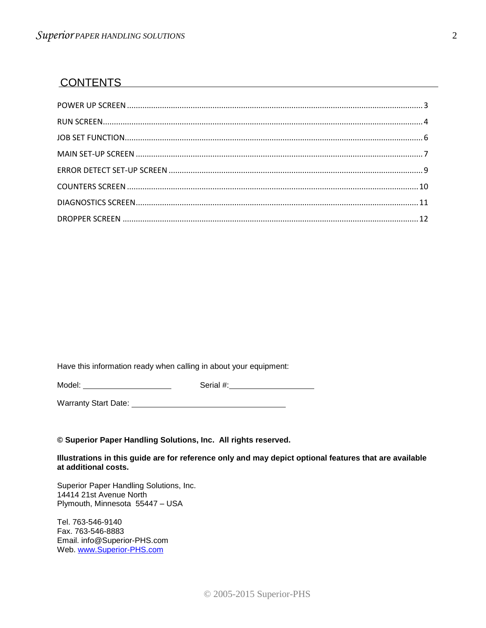#### **CONTENTS**

Have this information ready when calling in about your equipment:

Model: Serial #:

Warranty Start Date: University of the University Start Date:

#### **© Superior Paper Handling Solutions, Inc. All rights reserved.**

**Illustrations in this guide are for reference only and may depict optional features that are available at additional costs.**

Superior Paper Handling Solutions, Inc. 14414 21st Avenue North Plymouth, Minnesota 55447 – USA

Tel. 763-546-9140 Fax. 763-546-8883 Email. info@Superior-PHS.com Web. [www.Superior-PHS.com](http://www.superior-phs.com/)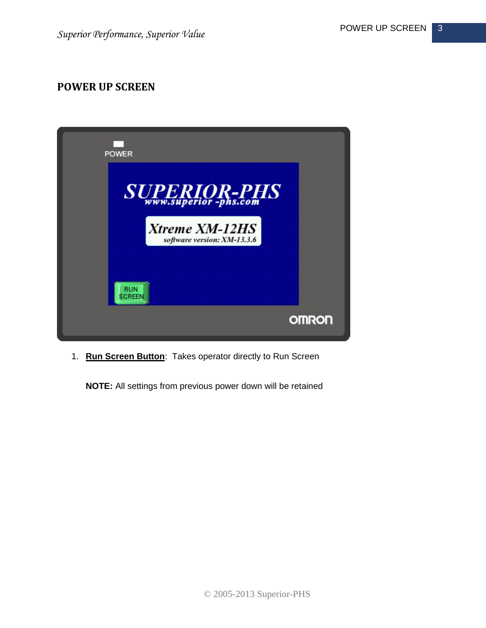#### <span id="page-2-0"></span>**POWER UP SCREEN**



1. **Run Screen Button**: Takes operator directly to Run Screen

**NOTE:** All settings from previous power down will be retained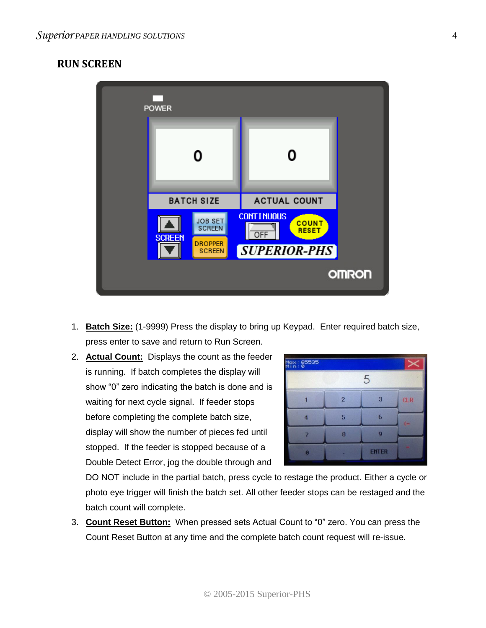#### <span id="page-3-0"></span>**RUN SCREEN**



- 1. **Batch Size:** (1-9999) Press the display to bring up Keypad. Enter required batch size, press enter to save and return to Run Screen.
- 2. **Actual Count:** Displays the count as the feeder is running. If batch completes the display will show "0" zero indicating the batch is done and is waiting for next cycle signal. If feeder stops before completing the complete batch size, display will show the number of pieces fed until stopped. If the feeder is stopped because of a Double Detect Error, jog the double through and



DO NOT include in the partial batch, press cycle to restage the product. Either a cycle or photo eye trigger will finish the batch set. All other feeder stops can be restaged and the batch count will complete.

3. **Count Reset Button:** When pressed sets Actual Count to "0" zero. You can press the Count Reset Button at any time and the complete batch count request will re-issue.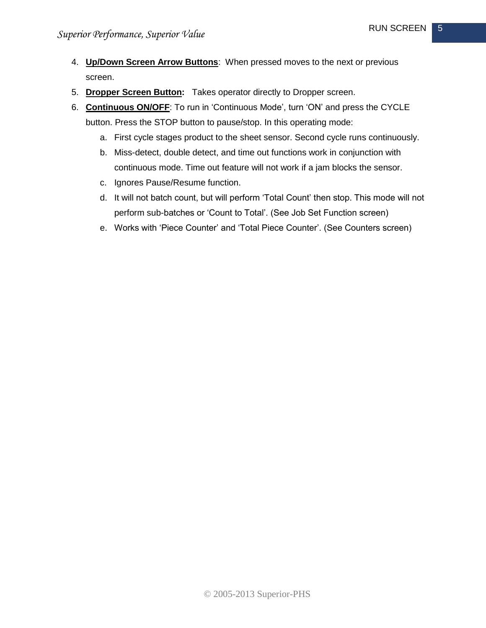- 4. **Up/Down Screen Arrow Buttons**: When pressed moves to the next or previous screen.
- 5. **Dropper Screen Button:** Takes operator directly to Dropper screen.
- 6. **Continuous ON/OFF**: To run in 'Continuous Mode', turn 'ON' and press the CYCLE button. Press the STOP button to pause/stop. In this operating mode:
	- a. First cycle stages product to the sheet sensor. Second cycle runs continuously.
	- b. Miss-detect, double detect, and time out functions work in conjunction with continuous mode. Time out feature will not work if a jam blocks the sensor.
	- c. Ignores Pause/Resume function.
	- d. It will not batch count, but will perform 'Total Count' then stop. This mode will not perform sub-batches or 'Count to Total'. (See Job Set Function screen)
	- e. Works with 'Piece Counter' and 'Total Piece Counter'. (See Counters screen)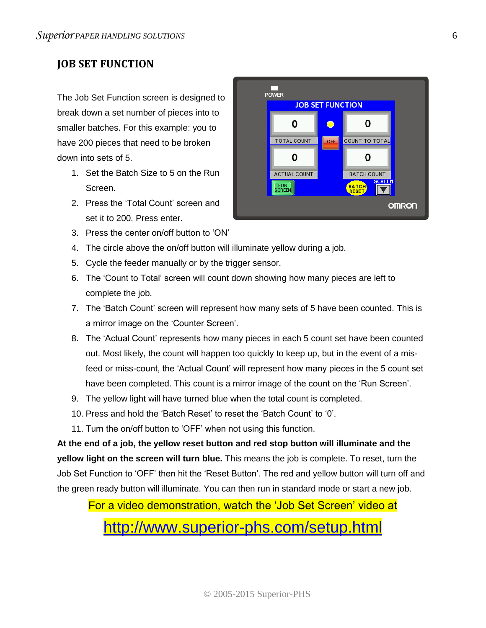## <span id="page-5-0"></span>**JOB SET FUNCTION**

The Job Set Function screen is designed to break down a set number of pieces into to smaller batches. For this example: you to have 200 pieces that need to be broken down into sets of 5.

- 1. Set the Batch Size to 5 on the Run Screen.
- 2. Press the 'Total Count' screen and set it to 200. Press enter.
- 3. Press the center on/off button to 'ON'
- 4. The circle above the on/off button will illuminate yellow during a job.
- 5. Cycle the feeder manually or by the trigger sensor.
- 6. The 'Count to Total' screen will count down showing how many pieces are left to complete the job.
- 7. The 'Batch Count' screen will represent how many sets of 5 have been counted. This is a mirror image on the 'Counter Screen'.
- 8. The 'Actual Count' represents how many pieces in each 5 count set have been counted out. Most likely, the count will happen too quickly to keep up, but in the event of a misfeed or miss-count, the 'Actual Count' will represent how many pieces in the 5 count set have been completed. This count is a mirror image of the count on the 'Run Screen'.
- 9. The yellow light will have turned blue when the total count is completed.
- 10. Press and hold the 'Batch Reset' to reset the 'Batch Count' to '0'.
- 11. Turn the on/off button to 'OFF' when not using this function.

**At the end of a job, the yellow reset button and red stop button will illuminate and the yellow light on the screen will turn blue.** This means the job is complete. To reset, turn the Job Set Function to 'OFF' then hit the 'Reset Button'. The red and yellow button will turn off and the green ready button will illuminate. You can then run in standard mode or start a new job.

#### For a video demonstration, watch the 'Job Set Screen' video at

## <http://www.superior-phs.com/setup.html>

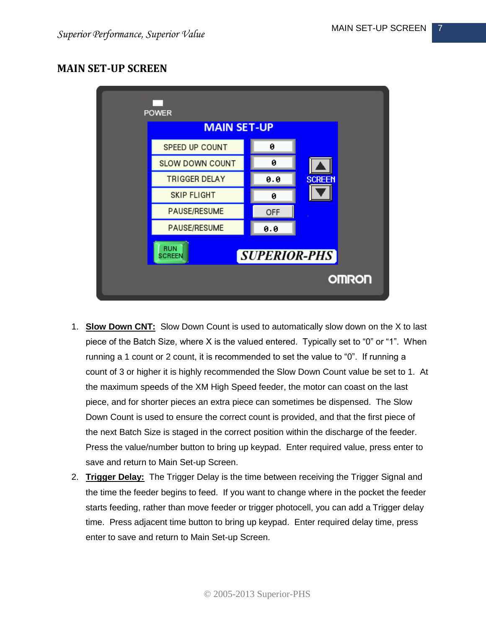#### <span id="page-6-0"></span>**MAIN SET-UP SCREEN**



- 1. **Slow Down CNT:** Slow Down Count is used to automatically slow down on the X to last piece of the Batch Size, where X is the valued entered. Typically set to "0" or "1". When running a 1 count or 2 count, it is recommended to set the value to "0". If running a count of 3 or higher it is highly recommended the Slow Down Count value be set to 1. At the maximum speeds of the XM High Speed feeder, the motor can coast on the last piece, and for shorter pieces an extra piece can sometimes be dispensed. The Slow Down Count is used to ensure the correct count is provided, and that the first piece of the next Batch Size is staged in the correct position within the discharge of the feeder. Press the value/number button to bring up keypad. Enter required value, press enter to save and return to Main Set-up Screen.
- 2. **Trigger Delay:** The Trigger Delay is the time between receiving the Trigger Signal and the time the feeder begins to feed. If you want to change where in the pocket the feeder starts feeding, rather than move feeder or trigger photocell, you can add a Trigger delay time. Press adjacent time button to bring up keypad. Enter required delay time, press enter to save and return to Main Set-up Screen.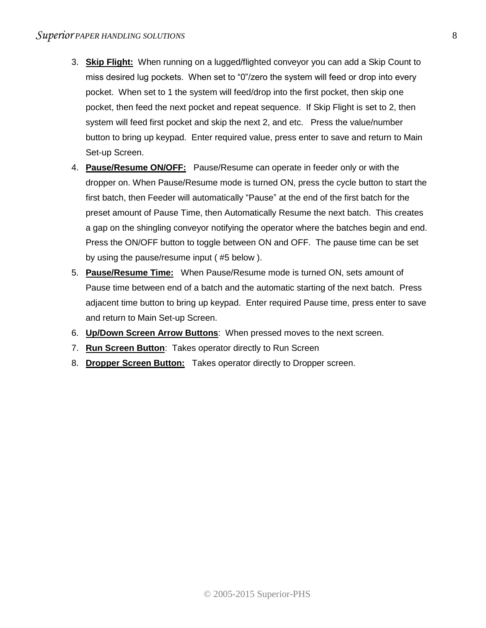- 3. **Skip Flight:** When running on a lugged/flighted conveyor you can add a Skip Count to miss desired lug pockets. When set to "0"/zero the system will feed or drop into every pocket. When set to 1 the system will feed/drop into the first pocket, then skip one pocket, then feed the next pocket and repeat sequence. If Skip Flight is set to 2, then system will feed first pocket and skip the next 2, and etc. Press the value/number button to bring up keypad. Enter required value, press enter to save and return to Main Set-up Screen.
- 4. **Pause/Resume ON/OFF:** Pause/Resume can operate in feeder only or with the dropper on. When Pause/Resume mode is turned ON, press the cycle button to start the first batch, then Feeder will automatically "Pause" at the end of the first batch for the preset amount of Pause Time, then Automatically Resume the next batch. This creates a gap on the shingling conveyor notifying the operator where the batches begin and end. Press the ON/OFF button to toggle between ON and OFF. The pause time can be set by using the pause/resume input ( #5 below ).
- 5. **Pause/Resume Time:** When Pause/Resume mode is turned ON, sets amount of Pause time between end of a batch and the automatic starting of the next batch. Press adjacent time button to bring up keypad. Enter required Pause time, press enter to save and return to Main Set-up Screen.
- 6. **Up/Down Screen Arrow Buttons**: When pressed moves to the next screen.
- 7. **Run Screen Button**: Takes operator directly to Run Screen
- 8. **Dropper Screen Button:** Takes operator directly to Dropper screen.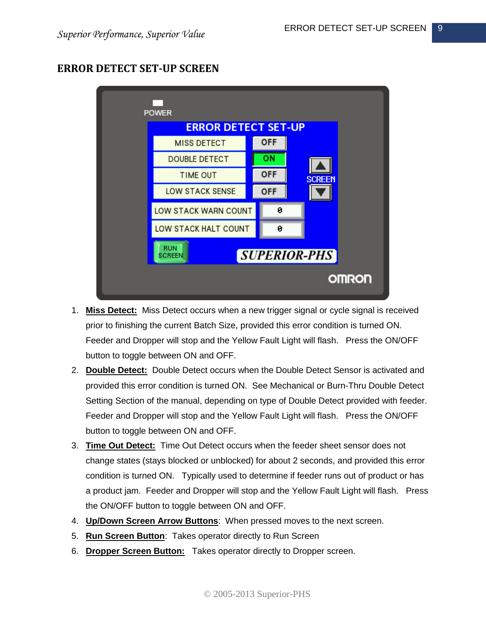#### <span id="page-8-0"></span>**ERROR DETECT SET-UP SCREEN**



- 1. **Miss Detect:** Miss Detect occurs when a new trigger signal or cycle signal is received prior to finishing the current Batch Size, provided this error condition is turned ON. Feeder and Dropper will stop and the Yellow Fault Light will flash. Press the ON/OFF button to toggle between ON and OFF.
- 2. **Double Detect:** Double Detect occurs when the Double Detect Sensor is activated and provided this error condition is turned ON. See Mechanical or Burn-Thru Double Detect Setting Section of the manual, depending on type of Double Detect provided with feeder. Feeder and Dropper will stop and the Yellow Fault Light will flash. Press the ON/OFF button to toggle between ON and OFF.
- 3. **Time Out Detect:** Time Out Detect occurs when the feeder sheet sensor does not change states (stays blocked or unblocked) for about 2 seconds, and provided this error condition is turned ON. Typically used to determine if feeder runs out of product or has a product jam. Feeder and Dropper will stop and the Yellow Fault Light will flash. Press the ON/OFF button to toggle between ON and OFF.
- 4. **Up/Down Screen Arrow Buttons**: When pressed moves to the next screen.
- 5. **Run Screen Button**: Takes operator directly to Run Screen
- 6. **Dropper Screen Button:** Takes operator directly to Dropper screen.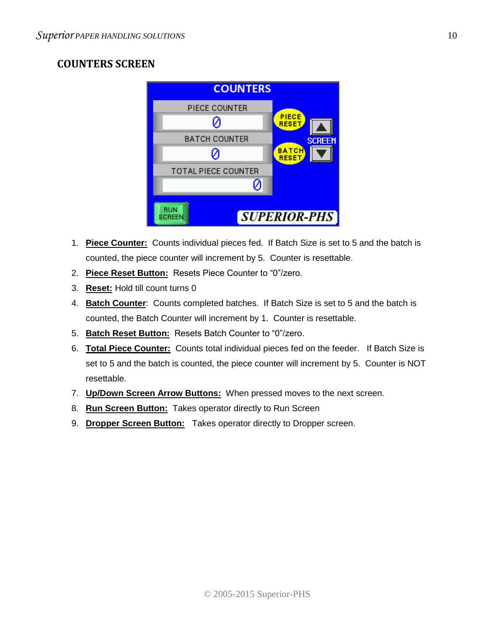## <span id="page-9-0"></span>**COUNTERS SCREEN**

|                                             | <b>COUNTERS</b>              |  |  |
|---------------------------------------------|------------------------------|--|--|
| PIECE COUNTER                               |                              |  |  |
|                                             | <b>PIECE</b><br><b>RESET</b> |  |  |
| <b>BATCH COUNTER</b>                        | <b>SCREEN</b>                |  |  |
|                                             | <b>BATC</b><br><b>RESET</b>  |  |  |
| <b>TOTAL PIECE COUNTER</b>                  |                              |  |  |
|                                             |                              |  |  |
| <b>RUN</b><br><b>SUPERIOR-PHS</b><br>SCREEN |                              |  |  |

- 1. **Piece Counter:** Counts individual pieces fed. If Batch Size is set to 5 and the batch is counted, the piece counter will increment by 5. Counter is resettable.
- 2. **Piece Reset Button:** Resets Piece Counter to "0"/zero.
- 3. **Reset:** Hold till count turns 0
- 4. **Batch Counter**: Counts completed batches. If Batch Size is set to 5 and the batch is counted, the Batch Counter will increment by 1. Counter is resettable.
- 5. **Batch Reset Button:** Resets Batch Counter to "0"/zero.
- 6. **Total Piece Counter:** Counts total individual pieces fed on the feeder. If Batch Size is set to 5 and the batch is counted, the piece counter will increment by 5. Counter is NOT resettable.
- 7. **Up/Down Screen Arrow Buttons:** When pressed moves to the next screen.
- 8. **Run Screen Button:** Takes operator directly to Run Screen
- 9. **Dropper Screen Button:** Takes operator directly to Dropper screen.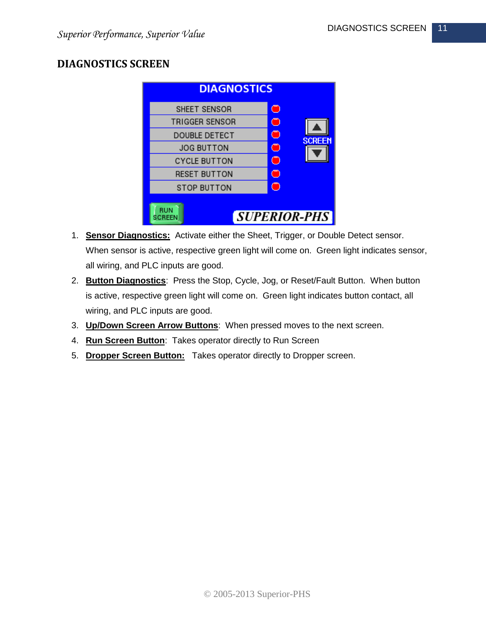### <span id="page-10-0"></span>**DIAGNOSTICS SCREEN**

| <b>DIAGNOSTICS</b>    |                     |  |  |
|-----------------------|---------------------|--|--|
| SHEET SENSOR          | O                   |  |  |
| <b>TRIGGER SENSOR</b> | O                   |  |  |
| <b>DOUBLE DETECT</b>  | O<br><b>SCREEN</b>  |  |  |
| <b>JOG BUTTON</b>     | O                   |  |  |
| <b>CYCLE BUTTON</b>   | ∩                   |  |  |
| <b>RESET BUTTON</b>   | O                   |  |  |
| <b>STOP BUTTON</b>    | ⊂                   |  |  |
| RUN<br>SCREEN         | <b>SUPERIOR-PHS</b> |  |  |

- 1. **Sensor Diagnostics:** Activate either the Sheet, Trigger, or Double Detect sensor. When sensor is active, respective green light will come on. Green light indicates sensor, all wiring, and PLC inputs are good.
- 2. **Button Diagnostics**: Press the Stop, Cycle, Jog, or Reset/Fault Button. When button is active, respective green light will come on. Green light indicates button contact, all wiring, and PLC inputs are good.
- 3. **Up/Down Screen Arrow Buttons**: When pressed moves to the next screen.
- 4. **Run Screen Button**: Takes operator directly to Run Screen
- 5. **Dropper Screen Button:** Takes operator directly to Dropper screen.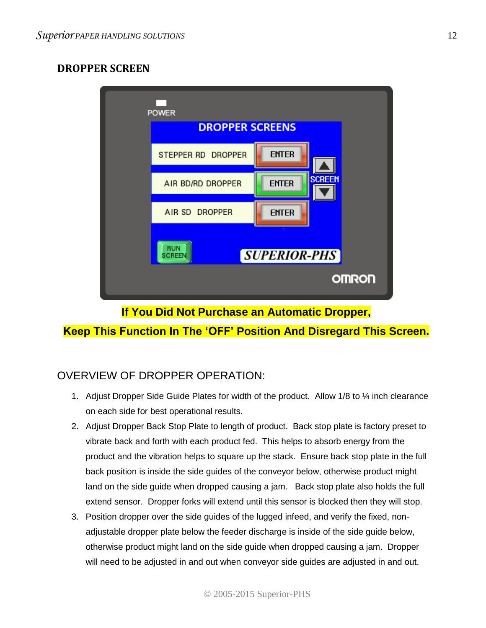## <span id="page-11-0"></span>**DROPPER SCREEN**



**If You Did Not Purchase an Automatic Dropper,**

## **Keep This Function In The 'OFF' Position And Disregard This Screen.**

## OVERVIEW OF DROPPER OPERATION:

- 1. Adjust Dropper Side Guide Plates for width of the product. Allow 1/8 to 1/4 inch clearance on each side for best operational results.
- 2. Adjust Dropper Back Stop Plate to length of product. Back stop plate is factory preset to vibrate back and forth with each product fed. This helps to absorb energy from the product and the vibration helps to square up the stack. Ensure back stop plate in the full back position is inside the side guides of the conveyor below, otherwise product might land on the side guide when dropped causing a jam. Back stop plate also holds the full extend sensor. Dropper forks will extend until this sensor is blocked then they will stop.
- 3. Position dropper over the side guides of the lugged infeed, and verify the fixed, nonadjustable dropper plate below the feeder discharge is inside of the side guide below, otherwise product might land on the side guide when dropped causing a jam. Dropper will need to be adjusted in and out when conveyor side guides are adjusted in and out.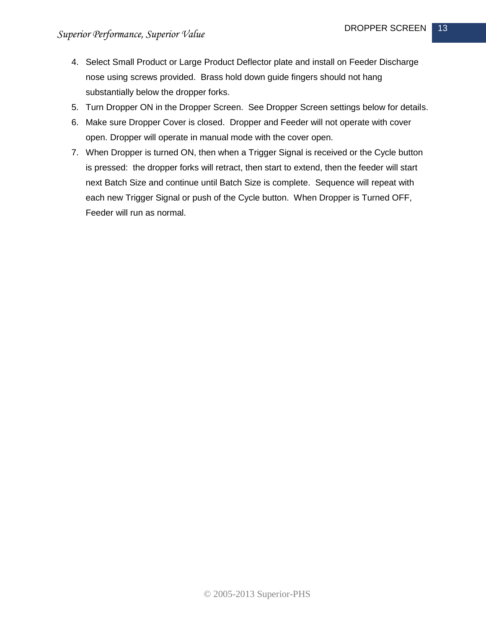- 4. Select Small Product or Large Product Deflector plate and install on Feeder Discharge nose using screws provided. Brass hold down guide fingers should not hang substantially below the dropper forks.
- 5. Turn Dropper ON in the Dropper Screen. See Dropper Screen settings below for details.
- 6. Make sure Dropper Cover is closed. Dropper and Feeder will not operate with cover open. Dropper will operate in manual mode with the cover open.
- 7. When Dropper is turned ON, then when a Trigger Signal is received or the Cycle button is pressed: the dropper forks will retract, then start to extend, then the feeder will start next Batch Size and continue until Batch Size is complete. Sequence will repeat with each new Trigger Signal or push of the Cycle button. When Dropper is Turned OFF, Feeder will run as normal.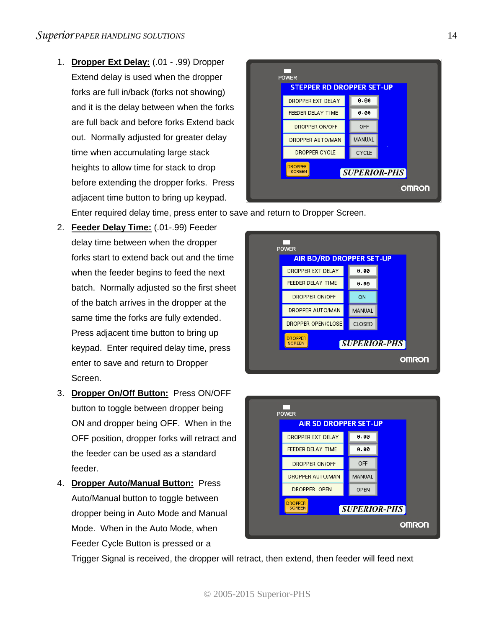1. **Dropper Ext Delay:** (.01 - .99) Dropper Extend delay is used when the dropper forks are full in/back (forks not showing) and it is the delay between when the forks are full back and before forks Extend back out. Normally adjusted for greater delay time when accumulating large stack heights to allow time for stack to drop before extending the dropper forks. Press adjacent time button to bring up keypad.



Enter required delay time, press enter to save and return to Dropper Screen.

- 2. **Feeder Delay Time:** (.01-.99) Feeder delay time between when the dropper forks start to extend back out and the time when the feeder begins to feed the next batch. Normally adjusted so the first sheet of the batch arrives in the dropper at the same time the forks are fully extended. Press adjacent time button to bring up keypad. Enter required delay time, press enter to save and return to Dropper Screen.
- 3. **Dropper On/Off Button:** Press ON/OFF button to toggle between dropper being ON and dropper being OFF. When in the OFF position, dropper forks will retract and the feeder can be used as a standard feeder.
- 4. **Dropper Auto/Manual Button:** Press Auto/Manual button to toggle between dropper being in Auto Mode and Manual Mode. When in the Auto Mode, when Feeder Cycle Button is pressed or a





Trigger Signal is received, the dropper will retract, then extend, then feeder will feed next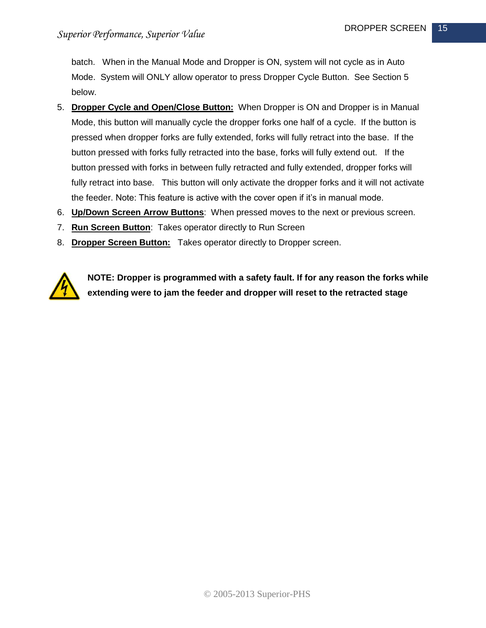batch. When in the Manual Mode and Dropper is ON, system will not cycle as in Auto Mode. System will ONLY allow operator to press Dropper Cycle Button. See Section 5 below.

- 5. **Dropper Cycle and Open/Close Button:** When Dropper is ON and Dropper is in Manual Mode, this button will manually cycle the dropper forks one half of a cycle. If the button is pressed when dropper forks are fully extended, forks will fully retract into the base. If the button pressed with forks fully retracted into the base, forks will fully extend out. If the button pressed with forks in between fully retracted and fully extended, dropper forks will fully retract into base. This button will only activate the dropper forks and it will not activate the feeder. Note: This feature is active with the cover open if it's in manual mode.
- 6. **Up/Down Screen Arrow Buttons**: When pressed moves to the next or previous screen.
- 7. **Run Screen Button**: Takes operator directly to Run Screen
- 8. **Dropper Screen Button:** Takes operator directly to Dropper screen.



**NOTE: Dropper is programmed with a safety fault. If for any reason the forks while extending were to jam the feeder and dropper will reset to the retracted stage**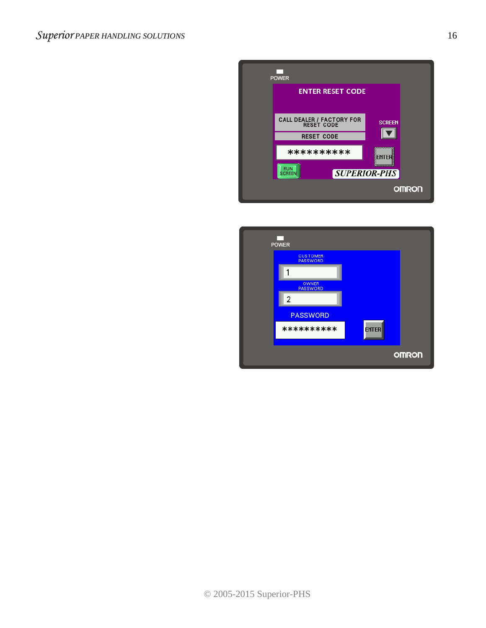

| <b>POWER</b>                       |              |              |
|------------------------------------|--------------|--------------|
| <b>CUSTOMER</b><br><b>PASSWORD</b> |              |              |
| ۴                                  |              |              |
| <b>OWNER</b><br><b>PASSWORD</b>    |              |              |
| 2                                  |              |              |
| <b>PASSWORD</b>                    |              |              |
| **********                         | <b>ENTER</b> |              |
|                                    |              |              |
|                                    |              | <b>OMRON</b> |